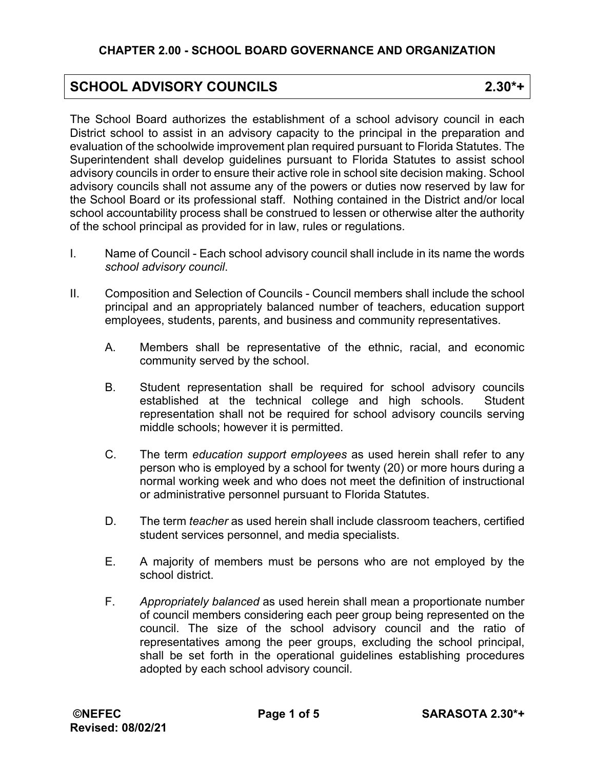## **SCHOOL ADVISORY COUNCILS 2.30\*+**

The School Board authorizes the establishment of a school advisory council in each District school to assist in an advisory capacity to the principal in the preparation and evaluation of the schoolwide improvement plan required pursuant to Florida Statutes. The Superintendent shall develop guidelines pursuant to Florida Statutes to assist school advisory councils in order to ensure their active role in school site decision making. School advisory councils shall not assume any of the powers or duties now reserved by law for the School Board or its professional staff. Nothing contained in the District and/or local school accountability process shall be construed to lessen or otherwise alter the authority of the school principal as provided for in law, rules or regulations.

- I. Name of Council Each school advisory council shall include in its name the words *school advisory council*.
- II. Composition and Selection of Councils Council members shall include the school principal and an appropriately balanced number of teachers, education support employees, students, parents, and business and community representatives.
	- A. Members shall be representative of the ethnic, racial, and economic community served by the school.
	- B. Student representation shall be required for school advisory councils established at the technical college and high schools. Student representation shall not be required for school advisory councils serving middle schools; however it is permitted.
	- C. The term *education support employees* as used herein shall refer to any person who is employed by a school for twenty (20) or more hours during a normal working week and who does not meet the definition of instructional or administrative personnel pursuant to Florida Statutes.
	- D. The term *teacher* as used herein shall include classroom teachers, certified student services personnel, and media specialists.
	- E. A majority of members must be persons who are not employed by the school district.
	- F. *Appropriately balanced* as used herein shall mean a proportionate number of council members considering each peer group being represented on the council. The size of the school advisory council and the ratio of representatives among the peer groups, excluding the school principal, shall be set forth in the operational guidelines establishing procedures adopted by each school advisory council.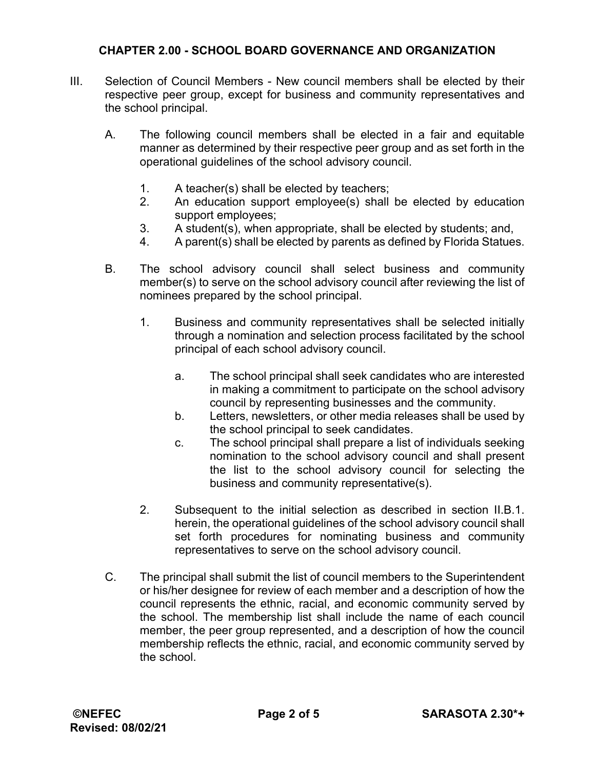## **CHAPTER 2.00 - SCHOOL BOARD GOVERNANCE AND ORGANIZATION**

- III. Selection of Council Members New council members shall be elected by their respective peer group, except for business and community representatives and the school principal.
	- A. The following council members shall be elected in a fair and equitable manner as determined by their respective peer group and as set forth in the operational guidelines of the school advisory council.
		- 1. A teacher(s) shall be elected by teachers;
		- 2. An education support employee(s) shall be elected by education support employees;
		- 3. A student(s), when appropriate, shall be elected by students; and,
		- 4. A parent(s) shall be elected by parents as defined by Florida Statues.
	- B. The school advisory council shall select business and community member(s) to serve on the school advisory council after reviewing the list of nominees prepared by the school principal.
		- 1. Business and community representatives shall be selected initially through a nomination and selection process facilitated by the school principal of each school advisory council.
			- a. The school principal shall seek candidates who are interested in making a commitment to participate on the school advisory council by representing businesses and the community.
			- b. Letters, newsletters, or other media releases shall be used by the school principal to seek candidates.
			- c. The school principal shall prepare a list of individuals seeking nomination to the school advisory council and shall present the list to the school advisory council for selecting the business and community representative(s).
		- 2. Subsequent to the initial selection as described in section II.B.1. herein, the operational guidelines of the school advisory council shall set forth procedures for nominating business and community representatives to serve on the school advisory council.
	- C. The principal shall submit the list of council members to the Superintendent or his/her designee for review of each member and a description of how the council represents the ethnic, racial, and economic community served by the school. The membership list shall include the name of each council member, the peer group represented, and a description of how the council membership reflects the ethnic, racial, and economic community served by the school.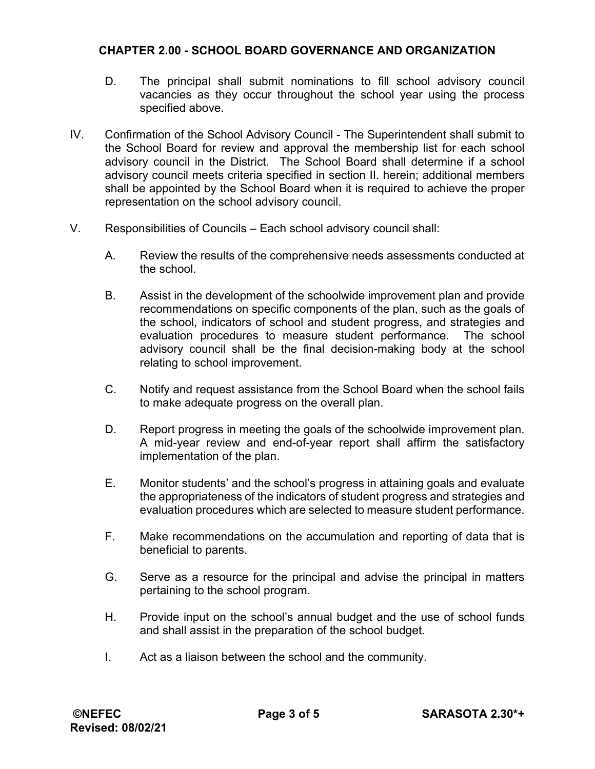## **CHAPTER 2.00 - SCHOOL BOARD GOVERNANCE AND ORGANIZATION**

- D. The principal shall submit nominations to fill school advisory council vacancies as they occur throughout the school year using the process specified above.
- IV. Confirmation of the School Advisory Council The Superintendent shall submit to the School Board for review and approval the membership list for each school advisory council in the District. The School Board shall determine if a school advisory council meets criteria specified in section II. herein; additional members shall be appointed by the School Board when it is required to achieve the proper representation on the school advisory council.
- V. Responsibilities of Councils Each school advisory council shall:
	- A. Review the results of the comprehensive needs assessments conducted at the school.
	- B. Assist in the development of the schoolwide improvement plan and provide recommendations on specific components of the plan, such as the goals of the school, indicators of school and student progress, and strategies and evaluation procedures to measure student performance. The school advisory council shall be the final decision-making body at the school relating to school improvement.
	- C. Notify and request assistance from the School Board when the school fails to make adequate progress on the overall plan.
	- D. Report progress in meeting the goals of the schoolwide improvement plan. A mid-year review and end-of-year report shall affirm the satisfactory implementation of the plan.
	- E. Monitor students' and the school's progress in attaining goals and evaluate the appropriateness of the indicators of student progress and strategies and evaluation procedures which are selected to measure student performance.
	- F. Make recommendations on the accumulation and reporting of data that is beneficial to parents.
	- G. Serve as a resource for the principal and advise the principal in matters pertaining to the school program.
	- H. Provide input on the school's annual budget and the use of school funds and shall assist in the preparation of the school budget.
	- I. Act as a liaison between the school and the community.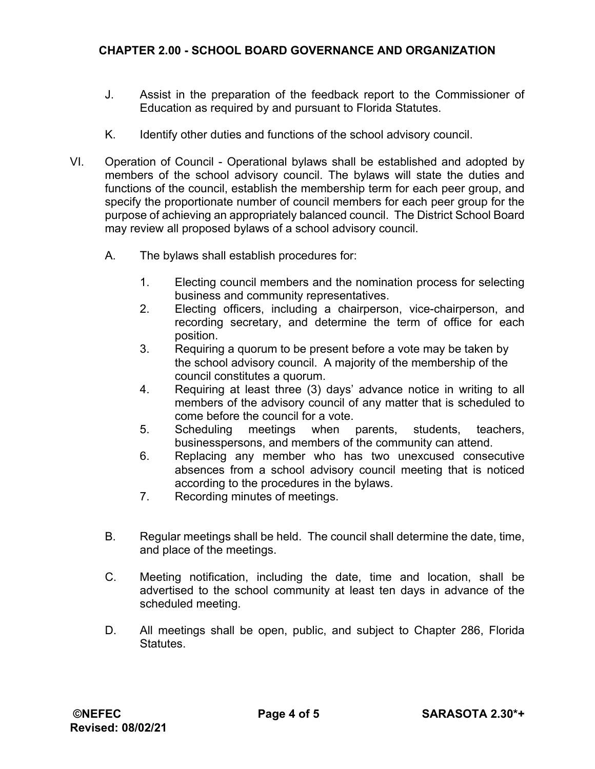- J. Assist in the preparation of the feedback report to the Commissioner of Education as required by and pursuant to Florida Statutes.
- K. Identify other duties and functions of the school advisory council.
- VI. Operation of Council Operational bylaws shall be established and adopted by members of the school advisory council. The bylaws will state the duties and functions of the council, establish the membership term for each peer group, and specify the proportionate number of council members for each peer group for the purpose of achieving an appropriately balanced council. The District School Board may review all proposed bylaws of a school advisory council.
	- A. The bylaws shall establish procedures for:
		- 1. Electing council members and the nomination process for selecting business and community representatives.
		- 2. Electing officers, including a chairperson, vice-chairperson, and recording secretary, and determine the term of office for each position.
		- 3. Requiring a quorum to be present before a vote may be taken by the school advisory council. A majority of the membership of the council constitutes a quorum.
		- 4. Requiring at least three (3) days' advance notice in writing to all members of the advisory council of any matter that is scheduled to come before the council for a vote.
		- 5. Scheduling meetings when parents, students, teachers, businesspersons, and members of the community can attend.
		- 6. Replacing any member who has two unexcused consecutive absences from a school advisory council meeting that is noticed according to the procedures in the bylaws.
		- 7. Recording minutes of meetings.
	- B. Regular meetings shall be held. The council shall determine the date, time, and place of the meetings.
	- C. Meeting notification, including the date, time and location, shall be advertised to the school community at least ten days in advance of the scheduled meeting.
	- D. All meetings shall be open, public, and subject to Chapter 286, Florida **Statutes**